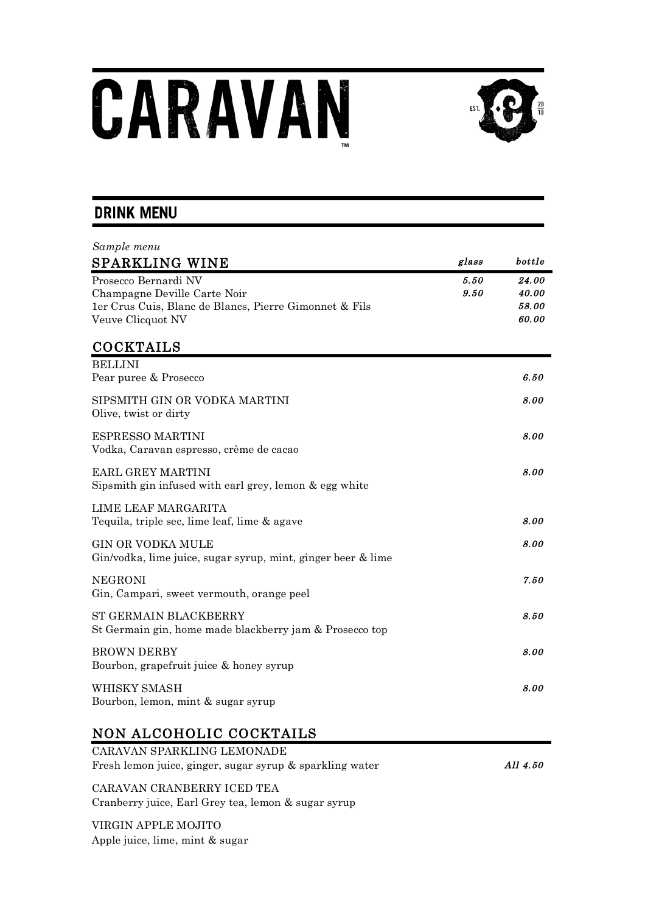# CARAVAN



# **DRINK MENU**

| Sample menu                                                                                                                         |              |                                  |
|-------------------------------------------------------------------------------------------------------------------------------------|--------------|----------------------------------|
| <b>SPARKLING WINE</b>                                                                                                               | glass        | bottle                           |
| Prosecco Bernardi NV<br>Champagne Deville Carte Noir<br>1er Crus Cuis, Blanc de Blancs, Pierre Gimonnet & Fils<br>Veuve Clicquot NV | 5.50<br>9.50 | 24.00<br>40.00<br>58.00<br>60.00 |
| <b>COCKTAILS</b>                                                                                                                    |              |                                  |
| <b>BELLINI</b><br>Pear puree & Prosecco                                                                                             |              | 6.50                             |
| SIPSMITH GIN OR VODKA MARTINI<br>Olive, twist or dirty                                                                              |              | 8.00                             |
| ESPRESSO MARTINI<br>Vodka, Caravan espresso, crème de cacao                                                                         |              | 8.00                             |
| EARL GREY MARTINI<br>Sipsmith gin infused with earl grey, lemon & egg white                                                         |              | 8.00                             |
| LIME LEAF MARGARITA<br>Tequila, triple sec, lime leaf, lime & agave                                                                 |              | 8.00                             |
| <b>GIN OR VODKA MULE</b><br>Gin/vodka, lime juice, sugar syrup, mint, ginger beer & lime                                            |              | 8.00                             |
| <b>NEGRONI</b><br>Gin, Campari, sweet vermouth, orange peel                                                                         |              | 7.50                             |
| ST GERMAIN BLACKBERRY<br>St Germain gin, home made blackberry jam & Prosecco top                                                    |              | 8.50                             |
| <b>BROWN DERBY</b><br>Bourbon, grapefruit juice & honey syrup                                                                       |              | 8.00                             |
| WHISKY SMASH<br>Bourbon, lemon, mint & sugar syrup                                                                                  |              | 8.00                             |

# NON ALCOHOLIC COCKTAILS

| CARAVAN SPARKLING LEMONADE                               |          |
|----------------------------------------------------------|----------|
| Fresh lemon juice, ginger, sugar syrup & sparkling water | All 4.50 |
| CARAVAN CRANBERRY ICED TEA                               |          |

Cranberry juice, Earl Grey tea, lemon & sugar syrup

VIRGIN APPLE MOJITO Apple juice, lime, mint & sugar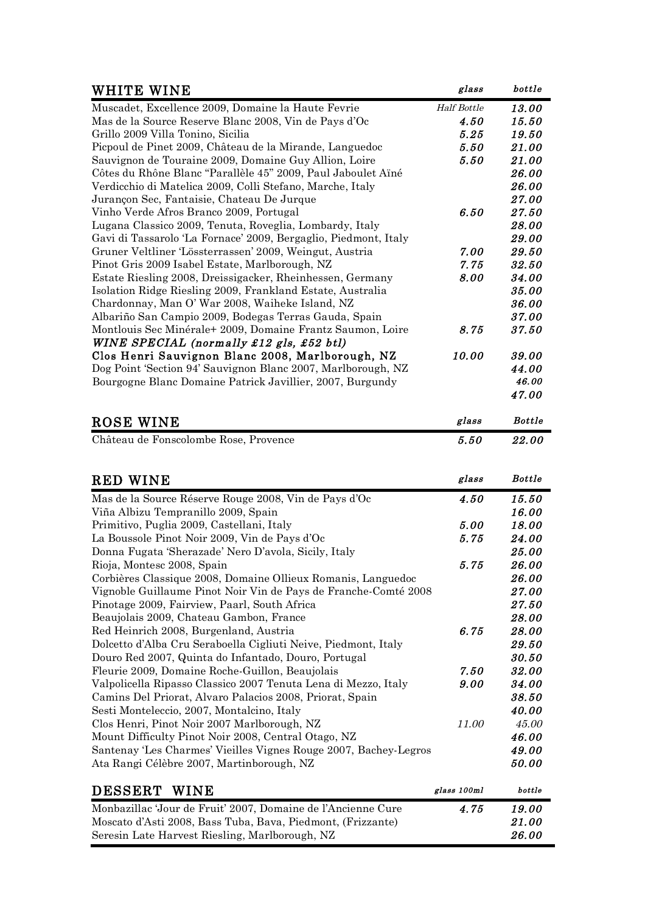| WHITE WINE                                                       | glass              | bottle        |
|------------------------------------------------------------------|--------------------|---------------|
| Muscadet, Excellence 2009, Domaine la Haute Fevrie               | <b>Half Bottle</b> | 13.00         |
| Mas de la Source Reserve Blanc 2008, Vin de Pays d'Oc            | 4.50               | 15.50         |
| Grillo 2009 Villa Tonino, Sicilia                                | 5.25               | 19.50         |
| Picpoul de Pinet 2009, Château de la Mirande, Languedoc          | 5.50               | 21.00         |
| Sauvignon de Touraine 2009, Domaine Guy Allion, Loire            | 5.50               | 21.00         |
| Côtes du Rhône Blanc "Parallèle 45" 2009, Paul Jaboulet Aïné     |                    | 26.00         |
| Verdicchio di Matelica 2009, Colli Stefano, Marche, Italy        |                    | 26.00         |
| Jurançon Sec, Fantaisie, Chateau De Jurque                       |                    | 27.00         |
| Vinho Verde Afros Branco 2009, Portugal                          | 6.50               | 27.50         |
| Lugana Classico 2009, Tenuta, Roveglia, Lombardy, Italy          |                    | 28.00         |
| Gavi di Tassarolo 'La Fornace' 2009, Bergaglio, Piedmont, Italy  |                    | 29.00         |
| Gruner Veltliner 'Lössterrassen' 2009, Weingut, Austria          | 7.00               | 29.50         |
| Pinot Gris 2009 Isabel Estate, Marlborough, NZ                   | 7.75               | 32.50         |
| Estate Riesling 2008, Dreissigacker, Rheinhessen, Germany        | 8.00               | 34.00         |
| Isolation Ridge Riesling 2009, Frankland Estate, Australia       |                    | 35.00         |
| Chardonnay, Man O' War 2008, Waiheke Island, NZ                  |                    | 36.00         |
| Albariño San Campio 2009, Bodegas Terras Gauda, Spain            |                    | 37.00         |
| Montlouis Sec Minérale+ 2009, Domaine Frantz Saumon, Loire       | 8.75               | 37.50         |
| WINE SPECIAL (normally £12 gls, £52 btl)                         |                    |               |
| Clos Henri Sauvignon Blanc 2008, Marlborough, NZ                 | 10.00              | 39.00         |
| Dog Point 'Section 94' Sauvignon Blanc 2007, Marlborough, NZ     |                    | 44.00         |
| Bourgogne Blanc Domaine Patrick Javillier, 2007, Burgundy        |                    | 46.00         |
|                                                                  |                    | 47.00         |
| ROSE WINE                                                        | glass              | <b>Bottle</b> |
| Château de Fonscolombe Rose, Provence                            | 5.50               | 22.00         |
|                                                                  |                    |               |
|                                                                  |                    |               |
| <b>RED WINE</b>                                                  | glass              | <b>Bottle</b> |
| Mas de la Source Réserve Rouge 2008, Vin de Pays d'Oc            | 4.50               | 15.50         |
| Viña Albizu Tempranillo 2009, Spain                              |                    | 16.00         |
| Primitivo, Puglia 2009, Castellani, Italy                        | 5.00               | 18.00         |
| La Boussole Pinot Noir 2009, Vin de Pays d'Oc                    | 5.75               | 24.00         |
| Donna Fugata 'Sherazade' Nero D'avola, Sicily, Italy             |                    | 25.00         |
| Rioja, Montesc 2008, Spain                                       | 5.75               | 26.00         |
| Corbières Classique 2008, Domaine Ollieux Romanis, Languedoc     |                    | 26.00         |
| Vignoble Guillaume Pinot Noir Vin de Pays de Franche-Comté 2008  |                    | 27.00         |
| Pinotage 2009, Fairview, Paarl, South Africa                     |                    | 27.50         |
| Beaujolais 2009, Chateau Gambon, France                          |                    | 28.00         |
| Red Heinrich 2008, Burgenland, Austria                           | 6.75               | 28.00         |
| Dolcetto d'Alba Cru Seraboella Cigliuti Neive, Piedmont, Italy   |                    | 29.50         |
| Douro Red 2007, Quinta do Infantado, Douro, Portugal             |                    | 30.50         |
| Fleurie 2009, Domaine Roche-Guillon, Beaujolais                  | 7.50               | 32.00         |
| Valpolicella Ripasso Classico 2007 Tenuta Lena di Mezzo, Italy   | 9.00               | 34.00         |
| Camins Del Priorat, Alvaro Palacios 2008, Priorat, Spain         |                    | 38.50         |
| Sesti Monteleccio, 2007, Montalcino, Italy                       |                    | 40.00         |
| Clos Henri, Pinot Noir 2007 Marlborough, NZ                      | 11.00              | 45.00         |
| Mount Difficulty Pinot Noir 2008, Central Otago, NZ              |                    | 46.00         |
| Santenay 'Les Charmes' Vieilles Vignes Rouge 2007, Bachey-Legros |                    | 49.00         |
| Ata Rangi Célèbre 2007, Martinborough, NZ                        |                    | 50.00         |
| DESSERT WINE                                                     | glass 100ml        | bottle        |
|                                                                  |                    |               |

| DEDDENI WINE                                                 | <b>BAGNU AVVALA</b> | .            |
|--------------------------------------------------------------|---------------------|--------------|
| Monbazillac 'Jour de Fruit' 2007. Domaine de l'Ancienne Cure | 4.75                | 19.00        |
| Moscato d'Asti 2008, Bass Tuba, Bava, Piedmont, (Frizzante)  |                     | <i>21.00</i> |
| Seresin Late Harvest Riesling, Marlborough, NZ               |                     | 26.00        |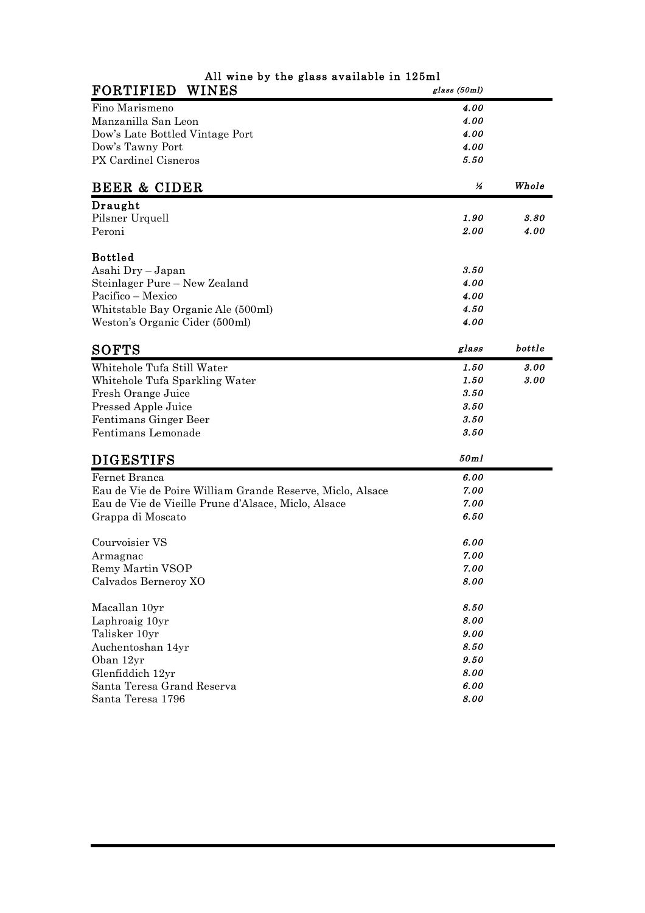| All wine by the glass available in 125ml                  |              |        |
|-----------------------------------------------------------|--------------|--------|
| <b>FORTIFIED</b><br><b>WINES</b>                          | glass (50ml) |        |
| Fino Marismeno                                            | 4.00         |        |
| Manzanilla San Leon                                       | 4.00         |        |
| Dow's Late Bottled Vintage Port                           | 4.00         |        |
| Dow's Tawny Port                                          | 4.00         |        |
| PX Cardinel Cisneros                                      | 5.50         |        |
| <b>BEER &amp; CIDER</b>                                   | ⅓            | Whole  |
| Draught                                                   |              |        |
| Pilsner Urquell                                           | 1.90         | 3.80   |
| Peroni                                                    | 2.00         | 4.00   |
| <b>Bottled</b>                                            |              |        |
| Asahi Dry - Japan                                         | 3.50         |        |
| Steinlager Pure - New Zealand                             | 4.00         |        |
| Pacifico - Mexico                                         | 4.00         |        |
| Whitstable Bay Organic Ale (500ml)                        | 4.50         |        |
| Weston's Organic Cider (500ml)                            | 4.00         |        |
| <b>SOFTS</b>                                              | glass        | bottle |
| Whitehole Tufa Still Water                                | 1.50         | 3.00   |
| Whitehole Tufa Sparkling Water                            | 1.50         | 3.00   |
| Fresh Orange Juice                                        | 3.50         |        |
| Pressed Apple Juice                                       | 3.50         |        |
| Fentimans Ginger Beer                                     | 3.50         |        |
| Fentimans Lemonade                                        | 3.50         |        |
| <b>DIGESTIFS</b>                                          | 50ml         |        |
| Fernet Branca                                             | 6.00         |        |
| Eau de Vie de Poire William Grande Reserve, Miclo, Alsace | 7.00         |        |
| Eau de Vie de Vieille Prune d'Alsace, Miclo, Alsace       | 7.00         |        |
| Grappa di Moscato                                         | 6.50         |        |
| Courvoisier VS                                            | 6.00         |        |
| Armagnac                                                  | 7.00         |        |
| Remy Martin VSOP                                          | 7.00         |        |
| Calvados Berneroy XO                                      | 8.00         |        |
| Macallan 10yr                                             | 8.50         |        |
| Laphroaig 10yr                                            | 8.00         |        |
| Talisker 10yr                                             | 9.00         |        |
| Auchentoshan 14yr                                         | 8.50         |        |
| Oban 12yr                                                 | 9.50         |        |
| Glenfiddich 12yr                                          | 8.00         |        |
| Santa Teresa Grand Reserva                                | 6.00         |        |
| Santa Teresa 1796                                         | 8.00         |        |
|                                                           |              |        |